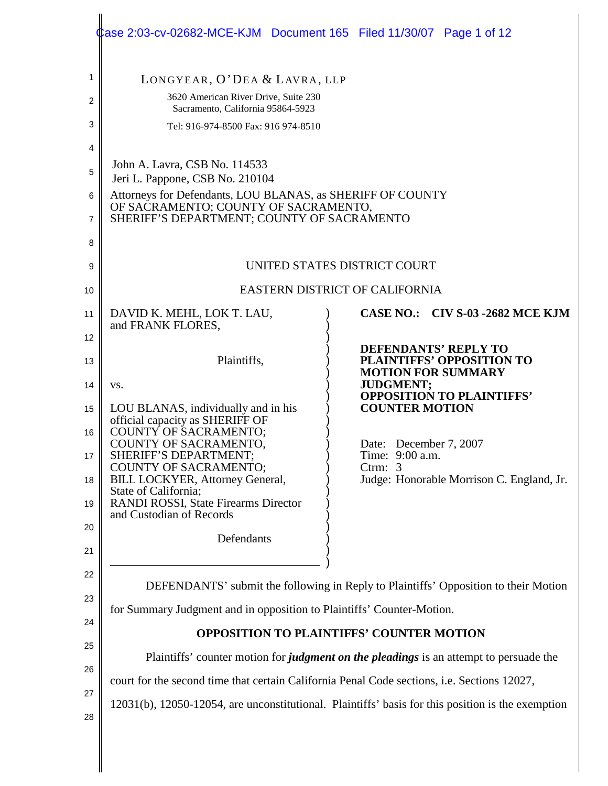|          | Lase 2:03-cv-02682-MCE-KJM  Document 165  Filed 11/30/07  Page 1 of 12                                                                                                                                                                                                                                                                                                                                                        |                                                                                     |  |  |  |
|----------|-------------------------------------------------------------------------------------------------------------------------------------------------------------------------------------------------------------------------------------------------------------------------------------------------------------------------------------------------------------------------------------------------------------------------------|-------------------------------------------------------------------------------------|--|--|--|
| 1        | LONGYEAR, O'DEA & LAVRA, LLP                                                                                                                                                                                                                                                                                                                                                                                                  |                                                                                     |  |  |  |
| 2        | 3620 American River Drive, Suite 230<br>Sacramento, California 95864-5923                                                                                                                                                                                                                                                                                                                                                     |                                                                                     |  |  |  |
| 3        | Tel: 916-974-8500 Fax: 916 974-8510                                                                                                                                                                                                                                                                                                                                                                                           |                                                                                     |  |  |  |
| 4        |                                                                                                                                                                                                                                                                                                                                                                                                                               |                                                                                     |  |  |  |
| 5        | John A. Lavra, CSB No. 114533<br>Jeri L. Pappone, CSB No. 210104                                                                                                                                                                                                                                                                                                                                                              |                                                                                     |  |  |  |
| 6<br>7   | Attorneys for Defendants, LOU BLANAS, as SHERIFF OF COUNTY<br>OF SACRAMENTO; COUNTY OF SACRAMENTO,<br>SHERIFF'S DEPARTMENT; COUNTY OF SACRAMENTO                                                                                                                                                                                                                                                                              |                                                                                     |  |  |  |
| 8        |                                                                                                                                                                                                                                                                                                                                                                                                                               |                                                                                     |  |  |  |
| 9        | UNITED STATES DISTRICT COURT                                                                                                                                                                                                                                                                                                                                                                                                  |                                                                                     |  |  |  |
| 10       | <b>EASTERN DISTRICT OF CALIFORNIA</b>                                                                                                                                                                                                                                                                                                                                                                                         |                                                                                     |  |  |  |
| 11       | DAVID K. MEHL, LOK T. LAU,<br>and FRANK FLORES,                                                                                                                                                                                                                                                                                                                                                                               | <b>CASE NO.: CIV S-03 -2682 MCE KJM</b>                                             |  |  |  |
| 12       |                                                                                                                                                                                                                                                                                                                                                                                                                               | <b>DEFENDANTS' REPLY TO</b>                                                         |  |  |  |
| 13<br>14 | Plaintiffs,<br>VS.                                                                                                                                                                                                                                                                                                                                                                                                            | PLAINTIFFS' OPPOSITION TO<br><b>MOTION FOR SUMMARY</b><br><b>JUDGMENT;</b>          |  |  |  |
| 15       | LOU BLANAS, individually and in his                                                                                                                                                                                                                                                                                                                                                                                           | <b>OPPOSITION TO PLAINTIFFS'</b><br><b>COUNTER MOTION</b>                           |  |  |  |
| 16       | official capacity as SHERIFF OF<br>COUNTY OF SACRAMENTO;                                                                                                                                                                                                                                                                                                                                                                      |                                                                                     |  |  |  |
| 17       | COUNTY OF SACRAMENTO,<br>SHERIFF'S DEPARTMENT;<br><b>COUNTY OF SACRAMENTO;</b>                                                                                                                                                                                                                                                                                                                                                | Date: December 7, 2007<br>Time: 9:00 a.m.<br>Ctrm: $3$                              |  |  |  |
| 18       | <b>BILL LOCKYER, Attorney General,</b><br>State of California;                                                                                                                                                                                                                                                                                                                                                                | Judge: Honorable Morrison C. England, Jr.                                           |  |  |  |
| 19       | <b>RANDI ROSSI, State Firearms Director</b><br>and Custodian of Records                                                                                                                                                                                                                                                                                                                                                       |                                                                                     |  |  |  |
| 20       | Defendants                                                                                                                                                                                                                                                                                                                                                                                                                    |                                                                                     |  |  |  |
| 21       |                                                                                                                                                                                                                                                                                                                                                                                                                               |                                                                                     |  |  |  |
| 22       |                                                                                                                                                                                                                                                                                                                                                                                                                               | DEFENDANTS' submit the following in Reply to Plaintiffs' Opposition to their Motion |  |  |  |
| 23       | for Summary Judgment and in opposition to Plaintiffs' Counter-Motion.<br><b>OPPOSITION TO PLAINTIFFS' COUNTER MOTION</b><br>Plaintiffs' counter motion for <i>judgment on the pleadings</i> is an attempt to persuade the<br>court for the second time that certain California Penal Code sections, i.e. Sections 12027,<br>12031(b), 12050-12054, are unconstitutional. Plaintiffs' basis for this position is the exemption |                                                                                     |  |  |  |
| 24       |                                                                                                                                                                                                                                                                                                                                                                                                                               |                                                                                     |  |  |  |
| 25       |                                                                                                                                                                                                                                                                                                                                                                                                                               |                                                                                     |  |  |  |
| 26       |                                                                                                                                                                                                                                                                                                                                                                                                                               |                                                                                     |  |  |  |
| 27       |                                                                                                                                                                                                                                                                                                                                                                                                                               |                                                                                     |  |  |  |
| 28       |                                                                                                                                                                                                                                                                                                                                                                                                                               |                                                                                     |  |  |  |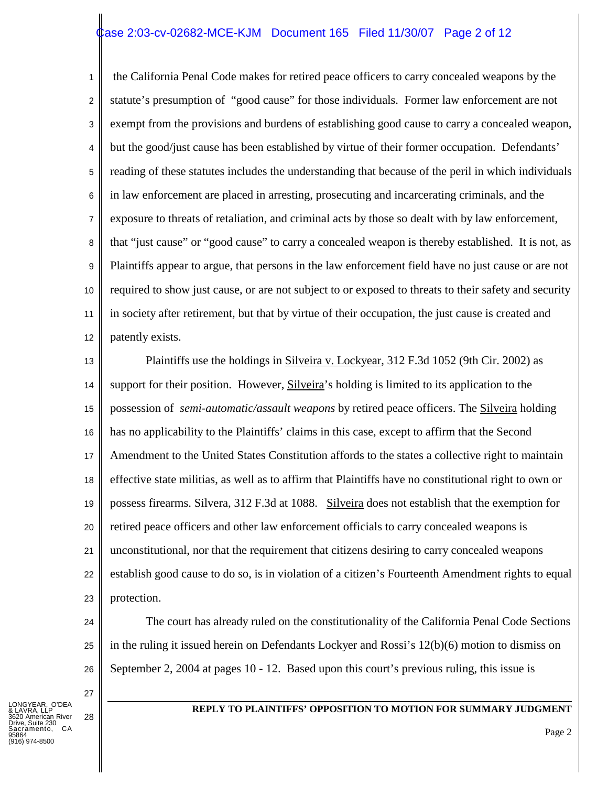### ase 2:03-cv-02682-MCE-KJM Document 165 Filed 11/30/07 Page 2 of 12

1 2 3 4 5 6 7 8 9 10 11 12 the California Penal Code makes for retired peace officers to carry concealed weapons by the statute's presumption of "good cause" for those individuals. Former law enforcement are not exempt from the provisions and burdens of establishing good cause to carry a concealed weapon, but the good/just cause has been established by virtue of their former occupation. Defendants' reading of these statutes includes the understanding that because of the peril in which individuals in law enforcement are placed in arresting, prosecuting and incarcerating criminals, and the exposure to threats of retaliation, and criminal acts by those so dealt with by law enforcement, that "just cause" or "good cause" to carry a concealed weapon is thereby established. It is not, as Plaintiffs appear to argue, that persons in the law enforcement field have no just cause or are not required to show just cause, or are not subject to or exposed to threats to their safety and security in society after retirement, but that by virtue of their occupation, the just cause is created and patently exists.

13 14 15 16 17 18 19 20 21 22 23 Plaintiffs use the holdings in Silveira v. Lockyear, 312 F.3d 1052 (9th Cir. 2002) as support for their position. However, Silveira's holding is limited to its application to the possession of *semi-automatic/assault weapons* by retired peace officers. The Silveira holding has no applicability to the Plaintiffs' claims in this case, except to affirm that the Second Amendment to the United States Constitution affords to the states a collective right to maintain effective state militias, as well as to affirm that Plaintiffs have no constitutional right to own or possess firearms. Silvera, 312 F.3d at 1088. Silveira does not establish that the exemption for retired peace officers and other law enforcement officials to carry concealed weapons is unconstitutional, nor that the requirement that citizens desiring to carry concealed weapons establish good cause to do so, is in violation of a citizen's Fourteenth Amendment rights to equal protection.

The court has already ruled on the constitutionality of the California Penal Code Sections in the ruling it issued herein on Defendants Lockyer and Rossi's 12(b)(6) motion to dismiss on September 2, 2004 at pages 10 - 12. Based upon this court's previous ruling, this issue is

LONGYEAR, O'DEA & LAVRA, LLP 3620 American River Suite 230 amento, CA 95864 974-8500

24

25

26

27

28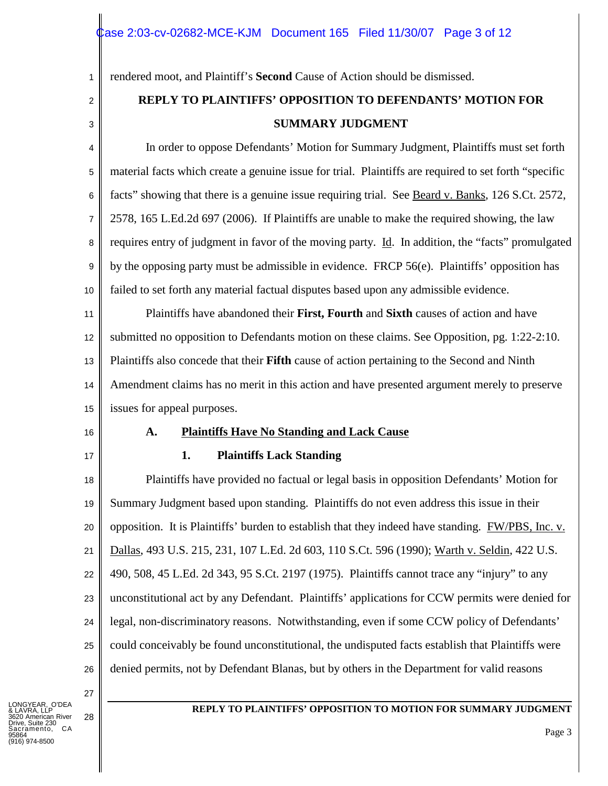rendered moot, and Plaintiff's **Second** Cause of Action should be dismissed.

# **REPLY TO PLAINTIFFS' OPPOSITION TO DEFENDANTS' MOTION FOR SUMMARY JUDGMENT**

4 5 6 7 8 9 10 In order to oppose Defendants' Motion for Summary Judgment, Plaintiffs must set forth material facts which create a genuine issue for trial. Plaintiffs are required to set forth "specific facts" showing that there is a genuine issue requiring trial. See Beard v. Banks, 126 S.Ct. 2572, 2578, 165 L.Ed.2d 697 (2006). If Plaintiffs are unable to make the required showing, the law requires entry of judgment in favor of the moving party. Id. In addition, the "facts" promulgated by the opposing party must be admissible in evidence. FRCP 56(e). Plaintiffs' opposition has failed to set forth any material factual disputes based upon any admissible evidence.

11 12 13 14 15 Plaintiffs have abandoned their **First, Fourth** and **Sixth** causes of action and have submitted no opposition to Defendants motion on these claims. See Opposition, pg. 1:22-2:10. Plaintiffs also concede that their **Fifth** cause of action pertaining to the Second and Ninth Amendment claims has no merit in this action and have presented argument merely to preserve issues for appeal purposes.

16

1

2

3

17

# **1. Plaintiffs Lack Standing**

**A. Plaintiffs Have No Standing and Lack Cause**

18 19 20 21 22 23 24 25 26 Plaintiffs have provided no factual or legal basis in opposition Defendants' Motion for Summary Judgment based upon standing. Plaintiffs do not even address this issue in their opposition. It is Plaintiffs' burden to establish that they indeed have standing. FW/PBS, Inc. v. Dallas, 493 U.S. 215, 231, 107 L.Ed. 2d 603, 110 S.Ct. 596 (1990); Warth v. Seldin, 422 U.S. 490, 508, 45 L.Ed. 2d 343, 95 S.Ct. 2197 (1975). Plaintiffs cannot trace any "injury" to any unconstitutional act by any Defendant. Plaintiffs' applications for CCW permits were denied for legal, non-discriminatory reasons. Notwithstanding, even if some CCW policy of Defendants' could conceivably be found unconstitutional, the undisputed facts establish that Plaintiffs were denied permits, not by Defendant Blanas, but by others in the Department for valid reasons

27

28

LONGYEAR, O'DEA & LAVRA, LLP 3620 American River Suite 230 amento, CA 95864 974-8500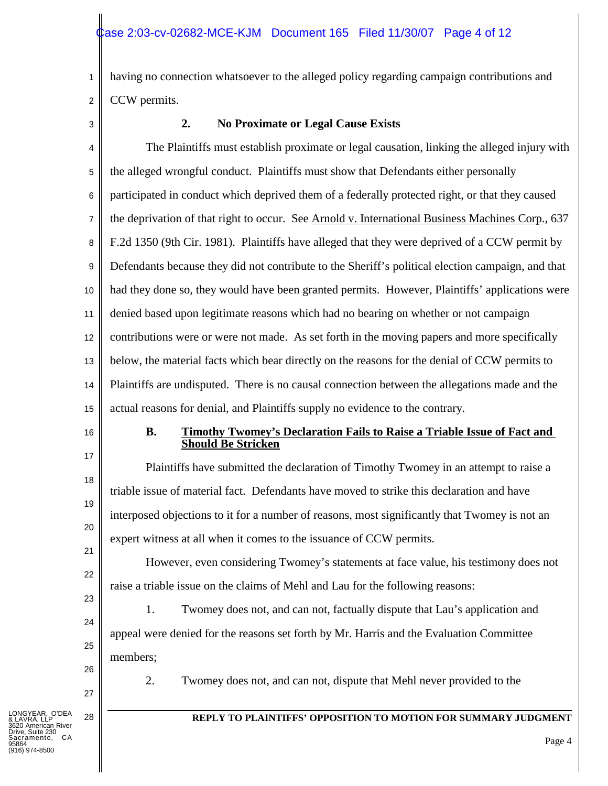1 2 having no connection whatsoever to the alleged policy regarding campaign contributions and CCW permits.

3

# **2. No Proximate or Legal Cause Exists**

4 5 6 7 8 9 10 11 12 13 14 15 The Plaintiffs must establish proximate or legal causation, linking the alleged injury with the alleged wrongful conduct. Plaintiffs must show that Defendants either personally participated in conduct which deprived them of a federally protected right, or that they caused the deprivation of that right to occur. See Arnold v. International Business Machines Corp., 637 F.2d 1350 (9th Cir. 1981). Plaintiffs have alleged that they were deprived of a CCW permit by Defendants because they did not contribute to the Sheriff's political election campaign, and that had they done so, they would have been granted permits. However, Plaintiffs' applications were denied based upon legitimate reasons which had no bearing on whether or not campaign contributions were or were not made. As set forth in the moving papers and more specifically below, the material facts which bear directly on the reasons for the denial of CCW permits to Plaintiffs are undisputed. There is no causal connection between the allegations made and the actual reasons for denial, and Plaintiffs supply no evidence to the contrary.

16

17

18

19

20

21

22

23

24

25

#### **B. Timothy Twomey's Declaration Fails to Raise a Triable Issue of Fact and Should Be Stricken**

Plaintiffs have submitted the declaration of Timothy Twomey in an attempt to raise a triable issue of material fact. Defendants have moved to strike this declaration and have interposed objections to it for a number of reasons, most significantly that Twomey is not an expert witness at all when it comes to the issuance of CCW permits.

However, even considering Twomey's statements at face value, his testimony does not raise a triable issue on the claims of Mehl and Lau for the following reasons:

1. Twomey does not, and can not, factually dispute that Lau's application and appeal were denied for the reasons set forth by Mr. Harris and the Evaluation Committee members;



2. Twomey does not, and can not, dispute that Mehl never provided to the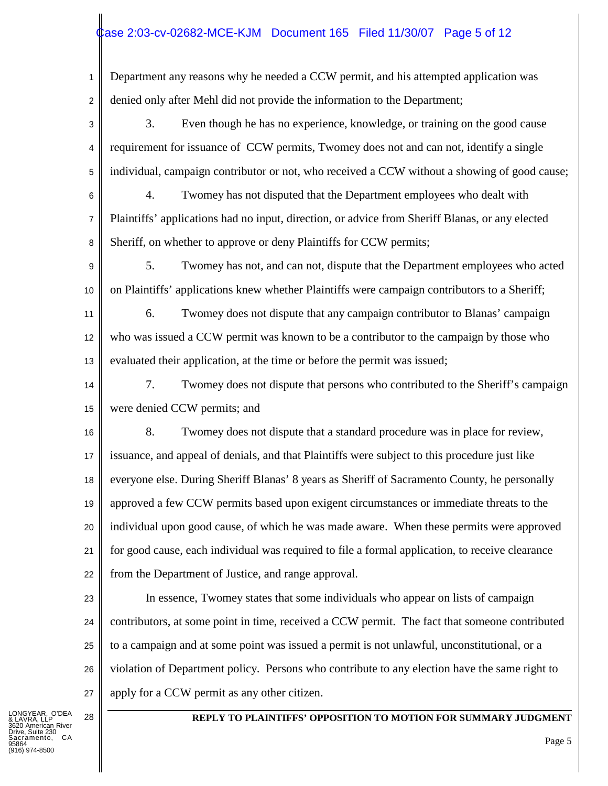# ase 2:03-cv-02682-MCE-KJM Document 165 Filed 11/30/07 Page 5 of 12

1 2 Department any reasons why he needed a CCW permit, and his attempted application was denied only after Mehl did not provide the information to the Department;

3 4 5 3. Even though he has no experience, knowledge, or training on the good cause requirement for issuance of CCW permits, Twomey does not and can not, identify a single individual, campaign contributor or not, who received a CCW without a showing of good cause;

6 7 8 4. Twomey has not disputed that the Department employees who dealt with Plaintiffs' applications had no input, direction, or advice from Sheriff Blanas, or any elected Sheriff, on whether to approve or deny Plaintiffs for CCW permits;

9 10 5. Twomey has not, and can not, dispute that the Department employees who acted on Plaintiffs' applications knew whether Plaintiffs were campaign contributors to a Sheriff;

11 12 13 6. Twomey does not dispute that any campaign contributor to Blanas' campaign who was issued a CCW permit was known to be a contributor to the campaign by those who evaluated their application, at the time or before the permit was issued;

14 15 7. Twomey does not dispute that persons who contributed to the Sheriff's campaign were denied CCW permits; and

16 17 18 19 20 21 22 8. Twomey does not dispute that a standard procedure was in place for review, issuance, and appeal of denials, and that Plaintiffs were subject to this procedure just like everyone else. During Sheriff Blanas' 8 years as Sheriff of Sacramento County, he personally approved a few CCW permits based upon exigent circumstances or immediate threats to the individual upon good cause, of which he was made aware. When these permits were approved for good cause, each individual was required to file a formal application, to receive clearance from the Department of Justice, and range approval.

23 24

25

26

27

In essence, Twomey states that some individuals who appear on lists of campaign contributors, at some point in time, received a CCW permit. The fact that someone contributed to a campaign and at some point was issued a permit is not unlawful, unconstitutional, or a violation of Department policy. Persons who contribute to any election have the same right to apply for a CCW permit as any other citizen.

LONGYEAR, O'DEA & LAVRA, LLP nerican River Suite 230 CA 95864 .<br>974-8500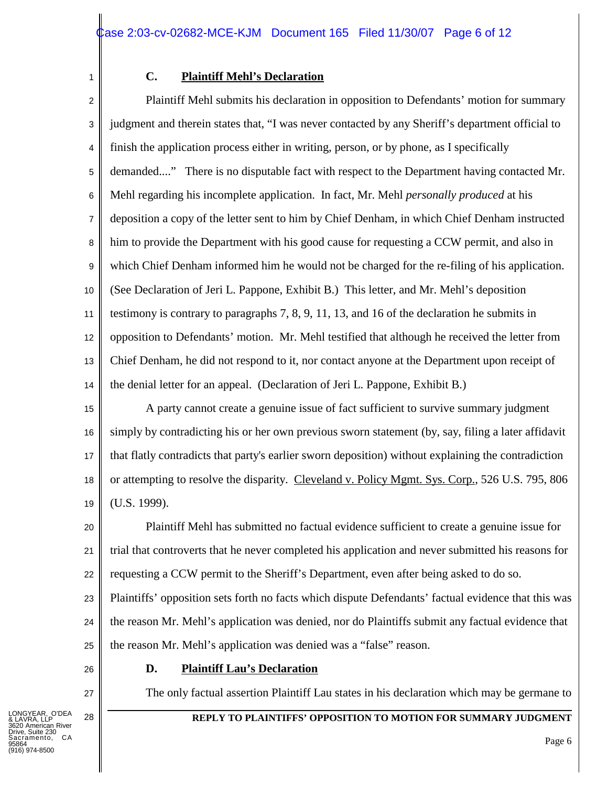# 1

## **C. Plaintiff Mehl's Declaration**

2 3 4 5 6 7 8 9 10 11 12 13 14 Plaintiff Mehl submits his declaration in opposition to Defendants' motion for summary judgment and therein states that, "I was never contacted by any Sheriff's department official to finish the application process either in writing, person, or by phone, as I specifically demanded...." There is no disputable fact with respect to the Department having contacted Mr. Mehl regarding his incomplete application. In fact, Mr. Mehl *personally produced* at his deposition a copy of the letter sent to him by Chief Denham, in which Chief Denham instructed him to provide the Department with his good cause for requesting a CCW permit, and also in which Chief Denham informed him he would not be charged for the re-filing of his application. (See Declaration of Jeri L. Pappone, Exhibit B.) This letter, and Mr. Mehl's deposition testimony is contrary to paragraphs 7, 8, 9, 11, 13, and 16 of the declaration he submits in opposition to Defendants' motion. Mr. Mehl testified that although he received the letter from Chief Denham, he did not respond to it, nor contact anyone at the Department upon receipt of the denial letter for an appeal. (Declaration of Jeri L. Pappone, Exhibit B.)

15 16 17 18 19 A party cannot create a genuine issue of fact sufficient to survive summary judgment simply by contradicting his or her own previous sworn statement (by, say, filing a later affidavit that flatly contradicts that party's earlier sworn deposition) without explaining the contradiction or attempting to resolve the disparity. Cleveland v. Policy Mgmt. Sys. Corp., 526 U.S. 795, 806 (U.S. 1999).

20 21 22 Plaintiff Mehl has submitted no factual evidence sufficient to create a genuine issue for trial that controverts that he never completed his application and never submitted his reasons for requesting a CCW permit to the Sheriff's Department, even after being asked to do so.

23 24 25 Plaintiffs' opposition sets forth no facts which dispute Defendants' factual evidence that this was the reason Mr. Mehl's application was denied, nor do Plaintiffs submit any factual evidence that the reason Mr. Mehl's application was denied was a "false" reason.

# **D. Plaintiff Lau's Declaration**

The only factual assertion Plaintiff Lau states in his declaration which may be germane to

#### 28 **REPLY TO PLAINTIFFS' OPPOSITION TO MOTION FOR SUMMARY JUDGMENT**

26

27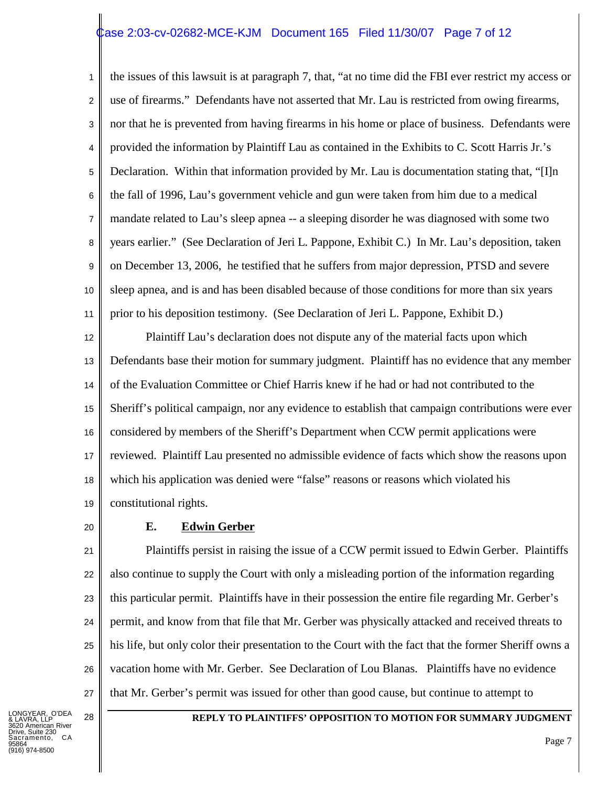# ase 2:03-cv-02682-MCE-KJM Document 165 Filed 11/30/07 Page 7 of 12

1 2 3 4 5 6 7 8 9 10 11 the issues of this lawsuit is at paragraph 7, that, "at no time did the FBI ever restrict my access or use of firearms." Defendants have not asserted that Mr. Lau is restricted from owing firearms, nor that he is prevented from having firearms in his home or place of business. Defendants were provided the information by Plaintiff Lau as contained in the Exhibits to C. Scott Harris Jr.'s Declaration. Within that information provided by Mr. Lau is documentation stating that, "[I]n the fall of 1996, Lau's government vehicle and gun were taken from him due to a medical mandate related to Lau's sleep apnea -- a sleeping disorder he was diagnosed with some two years earlier." (See Declaration of Jeri L. Pappone, Exhibit C.) In Mr. Lau's deposition, taken on December 13, 2006, he testified that he suffers from major depression, PTSD and severe sleep apnea, and is and has been disabled because of those conditions for more than six years prior to his deposition testimony. (See Declaration of Jeri L. Pappone, Exhibit D.)

12 13 14 15 16 17 18 19 Plaintiff Lau's declaration does not dispute any of the material facts upon which Defendants base their motion for summary judgment. Plaintiff has no evidence that any member of the Evaluation Committee or Chief Harris knew if he had or had not contributed to the Sheriff's political campaign, nor any evidence to establish that campaign contributions were ever considered by members of the Sheriff's Department when CCW permit applications were reviewed. Plaintiff Lau presented no admissible evidence of facts which show the reasons upon which his application was denied were "false" reasons or reasons which violated his constitutional rights.

#### 20

#### **E. Edwin Gerber**

21 22 23 24 25 26 27 Plaintiffs persist in raising the issue of a CCW permit issued to Edwin Gerber. Plaintiffs also continue to supply the Court with only a misleading portion of the information regarding this particular permit. Plaintiffs have in their possession the entire file regarding Mr. Gerber's permit, and know from that file that Mr. Gerber was physically attacked and received threats to his life, but only color their presentation to the Court with the fact that the former Sheriff owns a vacation home with Mr. Gerber. See Declaration of Lou Blanas. Plaintiffs have no evidence that Mr. Gerber's permit was issued for other than good cause, but continue to attempt to

LONGYEAR, O'DEA & LAVRA, LLP nerican River Suite 230 CA 95864 (916) 974-8500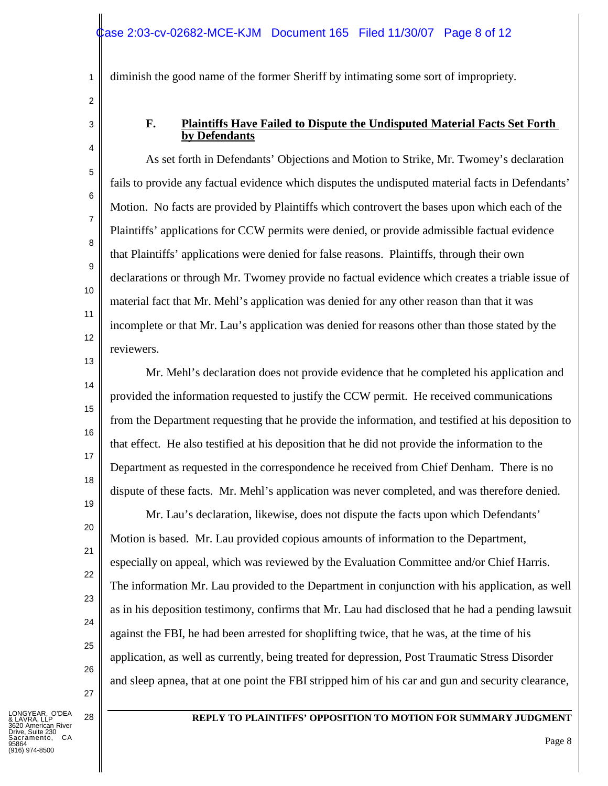diminish the good name of the former Sheriff by intimating some sort of impropriety.

2

1

3

4

5

6

7

8

9

10

11

12

### **F. Plaintiffs Have Failed to Dispute the Undisputed Material Facts Set Forth by Defendants**

As set forth in Defendants' Objections and Motion to Strike, Mr. Twomey's declaration fails to provide any factual evidence which disputes the undisputed material facts in Defendants' Motion. No facts are provided by Plaintiffs which controvert the bases upon which each of the Plaintiffs' applications for CCW permits were denied, or provide admissible factual evidence that Plaintiffs' applications were denied for false reasons. Plaintiffs, through their own declarations or through Mr. Twomey provide no factual evidence which creates a triable issue of material fact that Mr. Mehl's application was denied for any other reason than that it was incomplete or that Mr. Lau's application was denied for reasons other than those stated by the reviewers.

13

14

15

16

17

18

19

20

21

22

23

24

25

26

27

Mr. Mehl's declaration does not provide evidence that he completed his application and provided the information requested to justify the CCW permit. He received communications from the Department requesting that he provide the information, and testified at his deposition to that effect. He also testified at his deposition that he did not provide the information to the Department as requested in the correspondence he received from Chief Denham. There is no dispute of these facts. Mr. Mehl's application was never completed, and was therefore denied.

Mr. Lau's declaration, likewise, does not dispute the facts upon which Defendants' Motion is based. Mr. Lau provided copious amounts of information to the Department, especially on appeal, which was reviewed by the Evaluation Committee and/or Chief Harris. The information Mr. Lau provided to the Department in conjunction with his application, as well as in his deposition testimony, confirms that Mr. Lau had disclosed that he had a pending lawsuit against the FBI, he had been arrested for shoplifting twice, that he was, at the time of his application, as well as currently, being treated for depression, Post Traumatic Stress Disorder and sleep apnea, that at one point the FBI stripped him of his car and gun and security clearance,

O'DEA  $\overleftrightarrow{B}$  lip erican River Suite 230  $C.A$ 95864 (916) 974-8500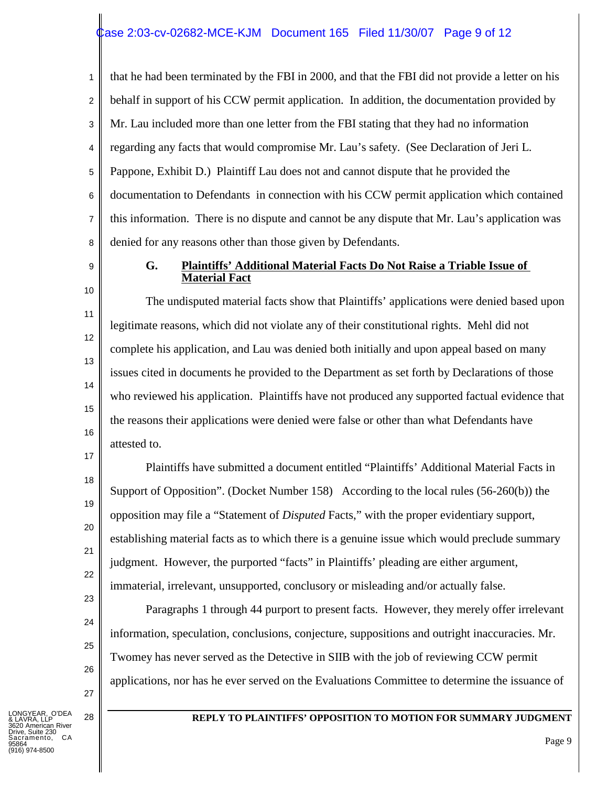# ase 2:03-cv-02682-MCE-KJM Document 165 Filed 11/30/07 Page 9 of 12

1 2 3 4 5 6 7 8 that he had been terminated by the FBI in 2000, and that the FBI did not provide a letter on his behalf in support of his CCW permit application. In addition, the documentation provided by Mr. Lau included more than one letter from the FBI stating that they had no information regarding any facts that would compromise Mr. Lau's safety. (See Declaration of Jeri L. Pappone, Exhibit D.) Plaintiff Lau does not and cannot dispute that he provided the documentation to Defendants in connection with his CCW permit application which contained this information. There is no dispute and cannot be any dispute that Mr. Lau's application was denied for any reasons other than those given by Defendants.

9 10

11

12

13

14

15

16

17

18

19

20

21

22

23

24

25

26

27

#### **G. Plaintiffs' Additional Material Facts Do Not Raise a Triable Issue of Material Fact**

The undisputed material facts show that Plaintiffs' applications were denied based upon legitimate reasons, which did not violate any of their constitutional rights. Mehl did not complete his application, and Lau was denied both initially and upon appeal based on many issues cited in documents he provided to the Department as set forth by Declarations of those who reviewed his application. Plaintiffs have not produced any supported factual evidence that the reasons their applications were denied were false or other than what Defendants have attested to.

Plaintiffs have submitted a document entitled "Plaintiffs' Additional Material Facts in Support of Opposition". (Docket Number 158) According to the local rules (56-260(b)) the opposition may file a "Statement of *Disputed* Facts," with the proper evidentiary support, establishing material facts as to which there is a genuine issue which would preclude summary judgment. However, the purported "facts" in Plaintiffs' pleading are either argument, immaterial, irrelevant, unsupported, conclusory or misleading and/or actually false.

Paragraphs 1 through 44 purport to present facts. However, they merely offer irrelevant information, speculation, conclusions, conjecture, suppositions and outright inaccuracies. Mr. Twomey has never served as the Detective in SIIB with the job of reviewing CCW permit applications, nor has he ever served on the Evaluations Committee to determine the issuance of

LONGYEAR, O'DEA & LAVRA, LLP nerican River Suite 230  $C.A$ 95864 .<br>974-8500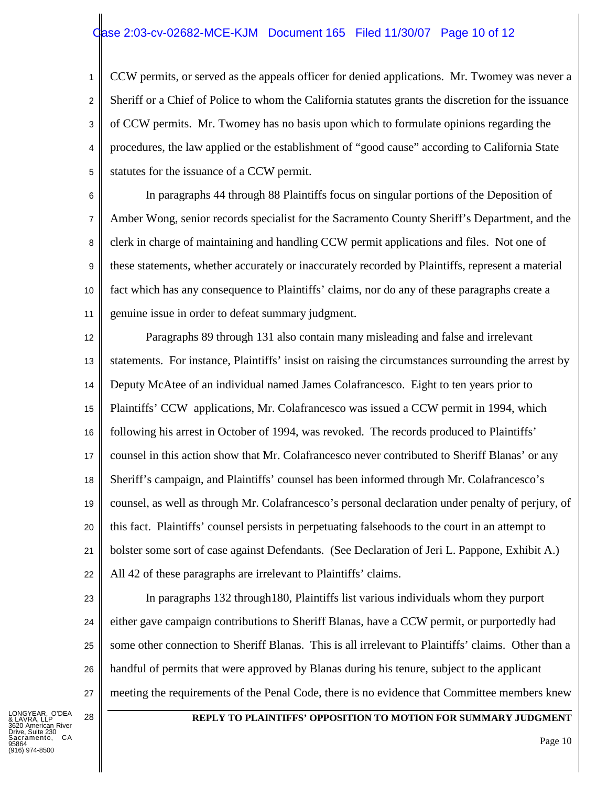# ase 2:03-cv-02682-MCE-KJM Document 165 Filed 11/30/07 Page 10 of 12

1 2 3 4 5 CCW permits, or served as the appeals officer for denied applications. Mr. Twomey was never a Sheriff or a Chief of Police to whom the California statutes grants the discretion for the issuance of CCW permits. Mr. Twomey has no basis upon which to formulate opinions regarding the procedures, the law applied or the establishment of "good cause" according to California State statutes for the issuance of a CCW permit.

6 7 8 9 10 11 In paragraphs 44 through 88 Plaintiffs focus on singular portions of the Deposition of Amber Wong, senior records specialist for the Sacramento County Sheriff's Department, and the clerk in charge of maintaining and handling CCW permit applications and files. Not one of these statements, whether accurately or inaccurately recorded by Plaintiffs, represent a material fact which has any consequence to Plaintiffs' claims, nor do any of these paragraphs create a genuine issue in order to defeat summary judgment.

12 13 14 15 16 17 18 19 20 21 22 Paragraphs 89 through 131 also contain many misleading and false and irrelevant statements. For instance, Plaintiffs' insist on raising the circumstances surrounding the arrest by Deputy McAtee of an individual named James Colafrancesco. Eight to ten years prior to Plaintiffs' CCW applications, Mr. Colafrancesco was issued a CCW permit in 1994, which following his arrest in October of 1994, was revoked. The records produced to Plaintiffs' counsel in this action show that Mr. Colafrancesco never contributed to Sheriff Blanas' or any Sheriff's campaign, and Plaintiffs' counsel has been informed through Mr. Colafrancesco's counsel, as well as through Mr. Colafrancesco's personal declaration under penalty of perjury, of this fact. Plaintiffs' counsel persists in perpetuating falsehoods to the court in an attempt to bolster some sort of case against Defendants. (See Declaration of Jeri L. Pappone, Exhibit A.) All 42 of these paragraphs are irrelevant to Plaintiffs' claims.

23 24

25

26

27

In paragraphs 132 through180, Plaintiffs list various individuals whom they purport either gave campaign contributions to Sheriff Blanas, have a CCW permit, or purportedly had some other connection to Sheriff Blanas. This is all irrelevant to Plaintiffs' claims. Other than a handful of permits that were approved by Blanas during his tenure, subject to the applicant meeting the requirements of the Penal Code, there is no evidence that Committee members knew

LONGYEAR, O'DEA & LAVRA, LLP nerican River Suite 230  $C A$ 95864 .<br>974-8500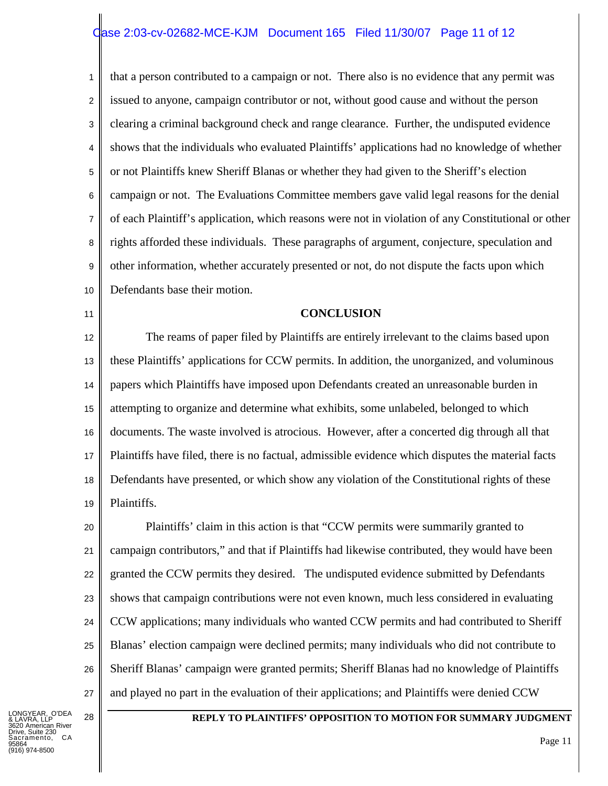# ase 2:03-cv-02682-MCE-KJM Document 165 Filed 11/30/07 Page 11 of 12

1 2 3 4 5 6 7 8 9 10 that a person contributed to a campaign or not. There also is no evidence that any permit was issued to anyone, campaign contributor or not, without good cause and without the person clearing a criminal background check and range clearance. Further, the undisputed evidence shows that the individuals who evaluated Plaintiffs' applications had no knowledge of whether or not Plaintiffs knew Sheriff Blanas or whether they had given to the Sheriff's election campaign or not. The Evaluations Committee members gave valid legal reasons for the denial of each Plaintiff's application, which reasons were not in violation of any Constitutional or other rights afforded these individuals. These paragraphs of argument, conjecture, speculation and other information, whether accurately presented or not, do not dispute the facts upon which Defendants base their motion.

11

#### **CONCLUSION**

12 13 14 15 16 17 18 19 The reams of paper filed by Plaintiffs are entirely irrelevant to the claims based upon these Plaintiffs' applications for CCW permits. In addition, the unorganized, and voluminous papers which Plaintiffs have imposed upon Defendants created an unreasonable burden in attempting to organize and determine what exhibits, some unlabeled, belonged to which documents. The waste involved is atrocious. However, after a concerted dig through all that Plaintiffs have filed, there is no factual, admissible evidence which disputes the material facts Defendants have presented, or which show any violation of the Constitutional rights of these Plaintiffs.

20 21 22 23 24 25 26 27 Plaintiffs' claim in this action is that "CCW permits were summarily granted to campaign contributors," and that if Plaintiffs had likewise contributed, they would have been granted the CCW permits they desired. The undisputed evidence submitted by Defendants shows that campaign contributions were not even known, much less considered in evaluating CCW applications; many individuals who wanted CCW permits and had contributed to Sheriff Blanas' election campaign were declined permits; many individuals who did not contribute to Sheriff Blanas' campaign were granted permits; Sheriff Blanas had no knowledge of Plaintiffs and played no part in the evaluation of their applications; and Plaintiffs were denied CCW

LONGYEAR, O'DEA & LAVRA, LLP erican River Suite 230  $C.A$ 95864 (916) 974-8500